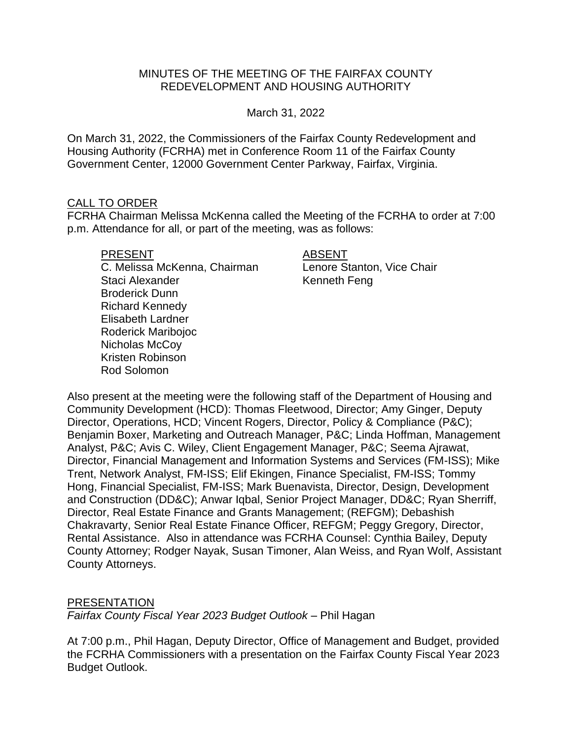# MINUTES OF THE MEETING OF THE FAIRFAX COUNTY REDEVELOPMENT AND HOUSING AUTHORITY

March 31, 2022

On March 31, 2022, the Commissioners of the Fairfax County Redevelopment and Housing Authority (FCRHA) met in Conference Room 11 of the Fairfax County Government Center, 12000 Government Center Parkway, Fairfax, Virginia.

### CALL TO ORDER

FCRHA Chairman Melissa McKenna called the Meeting of the FCRHA to order at 7:00 p.m. Attendance for all, or part of the meeting, was as follows:

#### PRESENT ABSENT

C. Melissa McKenna, Chairman Lenore Stanton, Vice Chair Staci Alexander **Kenneth Feng** Broderick Dunn Richard Kennedy Elisabeth Lardner Roderick Maribojoc Nicholas McCoy Kristen Robinson Rod Solomon

Also present at the meeting were the following staff of the Department of Housing and Community Development (HCD): Thomas Fleetwood, Director; Amy Ginger, Deputy Director, Operations, HCD; Vincent Rogers, Director, Policy & Compliance (P&C); Benjamin Boxer, Marketing and Outreach Manager, P&C; Linda Hoffman, Management Analyst, P&C; Avis C. Wiley, Client Engagement Manager, P&C; Seema Ajrawat, Director, Financial Management and Information Systems and Services (FM-ISS); Mike Trent, Network Analyst, FM-ISS; Elif Ekingen, Finance Specialist, FM-ISS; Tommy Hong, Financial Specialist, FM-ISS; Mark Buenavista, Director, Design, Development and Construction (DD&C); Anwar Iqbal, Senior Project Manager, DD&C; Ryan Sherriff, Director, Real Estate Finance and Grants Management; (REFGM); Debashish Chakravarty, Senior Real Estate Finance Officer, REFGM; Peggy Gregory, Director, Rental Assistance. Also in attendance was FCRHA Counsel: Cynthia Bailey, Deputy County Attorney; Rodger Nayak, Susan Timoner, Alan Weiss, and Ryan Wolf, Assistant County Attorneys.

#### PRESENTATION

*Fairfax County Fiscal Year 2023 Budget Outlook* – Phil Hagan

At 7:00 p.m., Phil Hagan, Deputy Director, Office of Management and Budget, provided the FCRHA Commissioners with a presentation on the Fairfax County Fiscal Year 2023 Budget Outlook.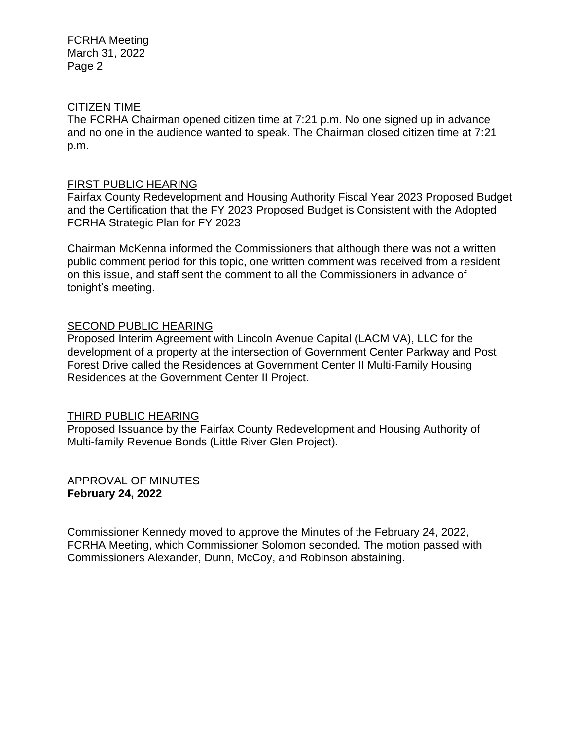## CITIZEN TIME

The FCRHA Chairman opened citizen time at 7:21 p.m. No one signed up in advance and no one in the audience wanted to speak. The Chairman closed citizen time at 7:21 p.m.

### FIRST PUBLIC HEARING

Fairfax County Redevelopment and Housing Authority Fiscal Year 2023 Proposed Budget and the Certification that the FY 2023 Proposed Budget is Consistent with the Adopted FCRHA Strategic Plan for FY 2023

Chairman McKenna informed the Commissioners that although there was not a written public comment period for this topic, one written comment was received from a resident on this issue, and staff sent the comment to all the Commissioners in advance of tonight's meeting.

# SECOND PUBLIC HEARING

Proposed Interim Agreement with Lincoln Avenue Capital (LACM VA), LLC for the development of a property at the intersection of Government Center Parkway and Post Forest Drive called the Residences at Government Center II Multi-Family Housing Residences at the Government Center II Project.

#### THIRD PUBLIC HEARING

Proposed Issuance by the Fairfax County Redevelopment and Housing Authority of Multi-family Revenue Bonds (Little River Glen Project).

APPROVAL OF MINUTES **February 24, 2022**

Commissioner Kennedy moved to approve the Minutes of the February 24, 2022, FCRHA Meeting, which Commissioner Solomon seconded. The motion passed with Commissioners Alexander, Dunn, McCoy, and Robinson abstaining.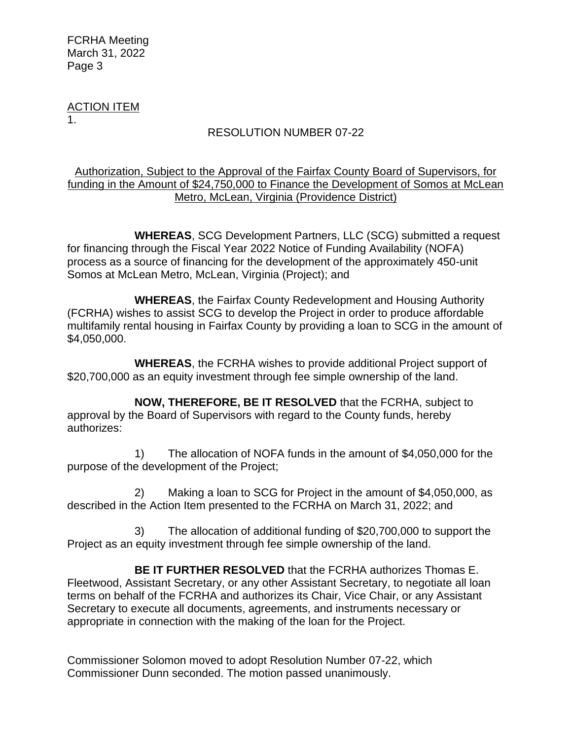ACTION ITEM 1.

# RESOLUTION NUMBER 07-22

## Authorization, Subject to the Approval of the Fairfax County Board of Supervisors, for funding in the Amount of \$24,750,000 to Finance the Development of Somos at McLean Metro, McLean, Virginia (Providence District)

**WHEREAS**, SCG Development Partners, LLC (SCG) submitted a request for financing through the Fiscal Year 2022 Notice of Funding Availability (NOFA) process as a source of financing for the development of the approximately 450-unit Somos at McLean Metro, McLean, Virginia (Project); and

**WHEREAS**, the Fairfax County Redevelopment and Housing Authority (FCRHA) wishes to assist SCG to develop the Project in order to produce affordable multifamily rental housing in Fairfax County by providing a loan to SCG in the amount of \$4,050,000.

**WHEREAS**, the FCRHA wishes to provide additional Project support of \$20,700,000 as an equity investment through fee simple ownership of the land.

**NOW, THEREFORE, BE IT RESOLVED** that the FCRHA, subject to approval by the Board of Supervisors with regard to the County funds, hereby authorizes:

1) The allocation of NOFA funds in the amount of \$4,050,000 for the purpose of the development of the Project;

2) Making a loan to SCG for Project in the amount of \$4,050,000, as described in the Action Item presented to the FCRHA on March 31, 2022; and

3) The allocation of additional funding of \$20,700,000 to support the Project as an equity investment through fee simple ownership of the land.

**BE IT FURTHER RESOLVED** that the FCRHA authorizes Thomas E. Fleetwood, Assistant Secretary, or any other Assistant Secretary, to negotiate all loan terms on behalf of the FCRHA and authorizes its Chair, Vice Chair, or any Assistant Secretary to execute all documents, agreements, and instruments necessary or appropriate in connection with the making of the loan for the Project.

Commissioner Solomon moved to adopt Resolution Number 07-22, which Commissioner Dunn seconded. The motion passed unanimously.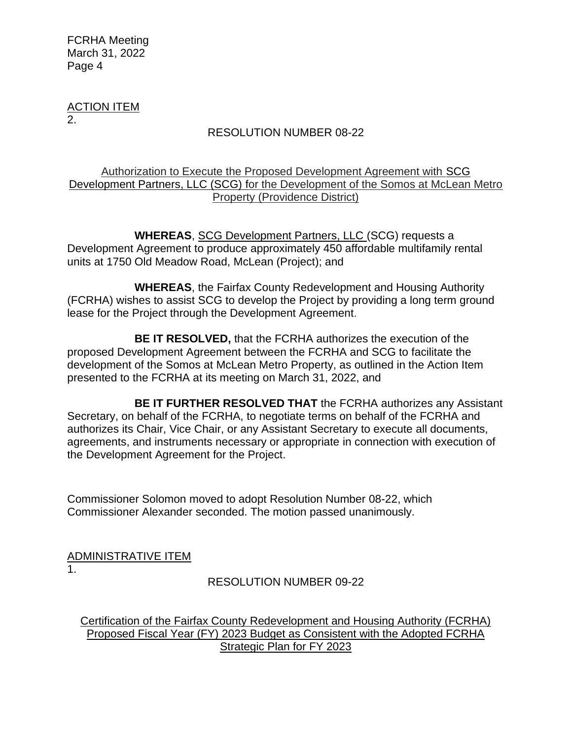ACTION ITEM 2.

# RESOLUTION NUMBER 08-22

# Authorization to Execute the Proposed Development Agreement with SCG Development Partners, LLC (SCG) for the Development of the Somos at McLean Metro Property (Providence District)

**WHEREAS**, SCG Development Partners, LLC (SCG) requests a Development Agreement to produce approximately 450 affordable multifamily rental units at 1750 Old Meadow Road, McLean (Project); and

**WHEREAS**, the Fairfax County Redevelopment and Housing Authority (FCRHA) wishes to assist SCG to develop the Project by providing a long term ground lease for the Project through the Development Agreement.

**BE IT RESOLVED,** that the FCRHA authorizes the execution of the proposed Development Agreement between the FCRHA and SCG to facilitate the development of the Somos at McLean Metro Property, as outlined in the Action Item presented to the FCRHA at its meeting on March 31, 2022, and

**BE IT FURTHER RESOLVED THAT** the FCRHA authorizes any Assistant Secretary, on behalf of the FCRHA, to negotiate terms on behalf of the FCRHA and authorizes its Chair, Vice Chair, or any Assistant Secretary to execute all documents, agreements, and instruments necessary or appropriate in connection with execution of the Development Agreement for the Project.

Commissioner Solomon moved to adopt Resolution Number 08-22, which Commissioner Alexander seconded. The motion passed unanimously.

ADMINISTRATIVE ITEM 1.

# RESOLUTION NUMBER 09-22

Certification of the Fairfax County Redevelopment and Housing Authority (FCRHA) Proposed Fiscal Year (FY) 2023 Budget as Consistent with the Adopted FCRHA Strategic Plan for FY 2023